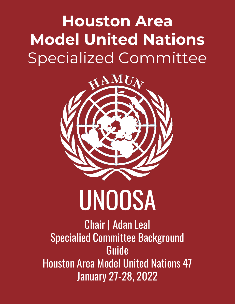### **Houston Area Model United Nations** Specialized Committee



# UNOOSA

Chair | Adan Leal Specialied Committee Background Guide Houston Area Model United Nations 47 January 27-28, 2022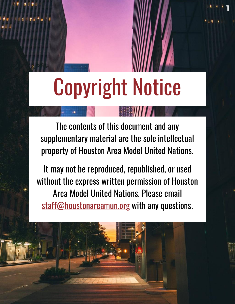### Copyright Notice

**1**

The contents of this document and any supplementary material are the sole intellectual property of Houston Area Model United Nations.

It may not be reproduced, republished, or used without the express written permission of Houston Area Model United Nations. Please email [staff@houstonareamun.org](mailto:staff@houstonareamun.org) with any questions.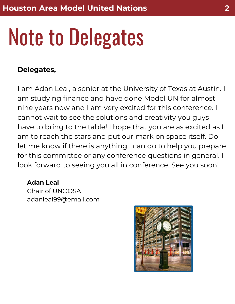## Note to Delegates

### **Delegates,**

I am Adan Leal, a senior at the University of Texas at Austin. I am studying finance and have done Model UN for almost nine years now and I am very excited for this conference. I cannot wait to see the solutions and creativity you guys have to bring to the table! I hope that you are as excited as I am to reach the stars and put our mark on space itself. Do let me know if there is anything I can do to help you prepare for this committee or any conference questions in general. I look forward to seeing you all in conference. See you soon!

### **Adan Leal**

Chair of UNOOSA adanleal99@email.com

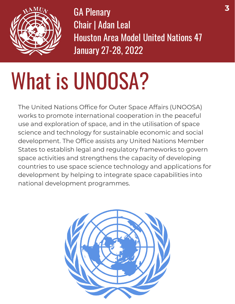

GA Plenary Chair | Adan Leal Houston Area Model United Nations 47 January 27-28, 2022

## What is UNOOSA?

The United Nations Office for Outer Space Affairs (UNOOSA) works to promote international cooperation in the peaceful use and exploration of space, and in the utilisation of space science and technology for sustainable economic and social development. The Office assists any United Nations Member States to establish legal and regulatory frameworks to govern space activities and strengthens the capacity of developing countries to use space science technology and applications for development by helping to integrate space capabilities into national development programmes.

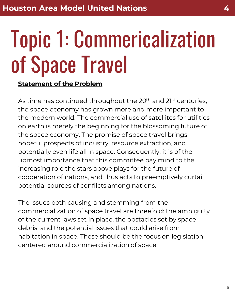### Topic 1: Commericalization of Space Travel

#### **Statement of the Problem**

As time has continued throughout the 20<sup>th</sup> and 2<sup>1st</sup> centuries, the space economy has grown more and more important to the modern world. The commercial use of satellites for utilities on earth is merely the beginning for the blossoming future of the space economy. The promise of space travel brings hopeful prospects of industry, resource extraction, and potentially even life all in space. Consequently, it is of the upmost importance that this committee pay mind to the increasing role the stars above plays for the future of cooperation of nations, and thus acts to preemptively curtail potential sources of conflicts among nations.

The issues both causing and stemming from the commercialization of space travel are threefold: the ambiguity of the current laws set in place, the obstacles set by space debris, and the potential issues that could arise from habitation in space. These should be the focus on legislation centered around commercialization of space.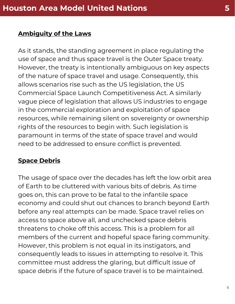#### **Ambiguity of the Laws**

As it stands, the standing agreement in place regulating the use of space and thus space travel is the Outer Space treaty. However, the treaty is intentionally ambiguous on key aspects of the nature of space travel and usage. Consequently, this allows scenarios rise such as the US legislation, the US Commercial Space Launch Competitiveness Act. A similarly vague piece of legislation that allows US industries to engage in the commercial exploration and exploitation of space resources, while remaining silent on sovereignty or ownership rights of the resources to begin with. Such legislation is paramount in terms of the state of space travel and would need to be addressed to ensure conflict is prevented.

### **Space Debris**

The usage of space over the decades has left the low orbit area of Earth to be cluttered with various bits of debris. As time goes on, this can prove to be fatal to the infantile space economy and could shut out chances to branch beyond Earth before any real attempts can be made. Space travel relies on access to space above all, and unchecked space debris threatens to choke off this access. This is a problem for all members of the current and hopeful space faring community. However, this problem is not equal in its instigators, and consequently leads to issues in attempting to resolve it. This committee must address the glaring, but difficult issue of space debris if the future of space travel is to be maintained.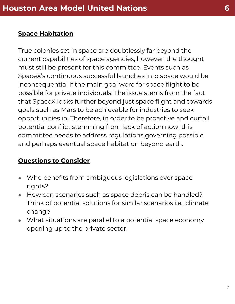#### **Space Habitation**

True colonies set in space are doubtlessly far beyond the current capabilities of space agencies, however, the thought must still be present for this committee. Events such as SpaceX's continuous successful launches into space would be inconsequential if the main goal were for space flight to be possible for private individuals. The issue stems from the fact that SpaceX looks further beyond just space flight and towards goals such as Mars to be achievable for industries to seek opportunities in. Therefore, in order to be proactive and curtail potential conflict stemming from lack of action now, this committee needs to address regulations governing possible and perhaps eventual space habitation beyond earth.

### **Questions to Consider**

- Who benefits from ambiguous legislations over space rights?
- How can scenarios such as space debris can be handled? Think of potential solutions for similar scenarios i.e., climate change
- What situations are parallel to a potential space economy opening up to the private sector.